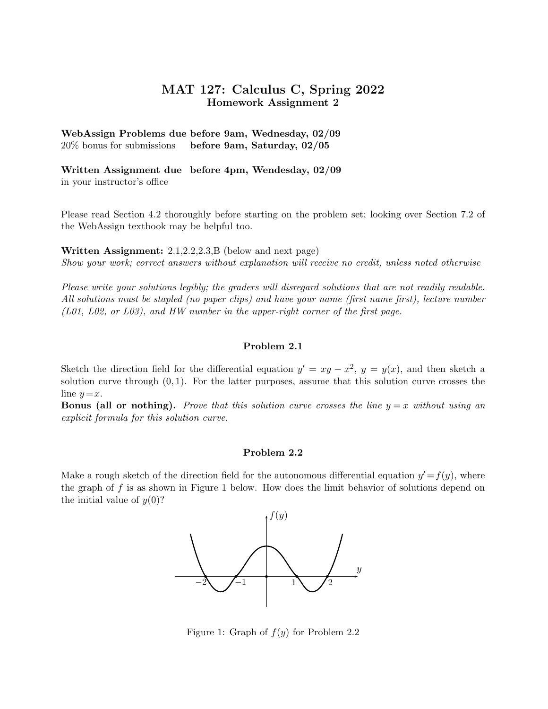# MAT 127: Calculus C, Spring 2022 Homework Assignment 2

WebAssign Problems due before 9am, Wednesday, 02/09 20% bonus for submissions before 9am, Saturday, 02/05

Written Assignment due before 4pm, Wendesday, 02/09 in your instructor's office

Please read Section 4.2 thoroughly before starting on the problem set; looking over Section 7.2 of the WebAssign textbook may be helpful too.

Written Assignment: 2.1,2.2,2.3,B (below and next page)

Show your work; correct answers without explanation will receive no credit, unless noted otherwise

Please write your solutions legibly; the graders will disregard solutions that are not readily readable. All solutions must be stapled (no paper clips) and have your name (first name first), lecture number (L01, L02, or L03), and HW number in the upper-right corner of the first page.

### Problem 2.1

Sketch the direction field for the differential equation  $y' = xy - x^2$ ,  $y = y(x)$ , and then sketch a solution curve through  $(0, 1)$ . For the latter purposes, assume that this solution curve crosses the line  $y=x$ .

**Bonus (all or nothing).** Prove that this solution curve crosses the line  $y = x$  without using an explicit formula for this solution curve.

## Problem 2.2

Make a rough sketch of the direction field for the autonomous differential equation  $y' = f(y)$ , where the graph of  $f$  is as shown in Figure 1 below. How does the limit behavior of solutions depend on the initial value of  $y(0)$ ?



Figure 1: Graph of  $f(y)$  for Problem 2.2